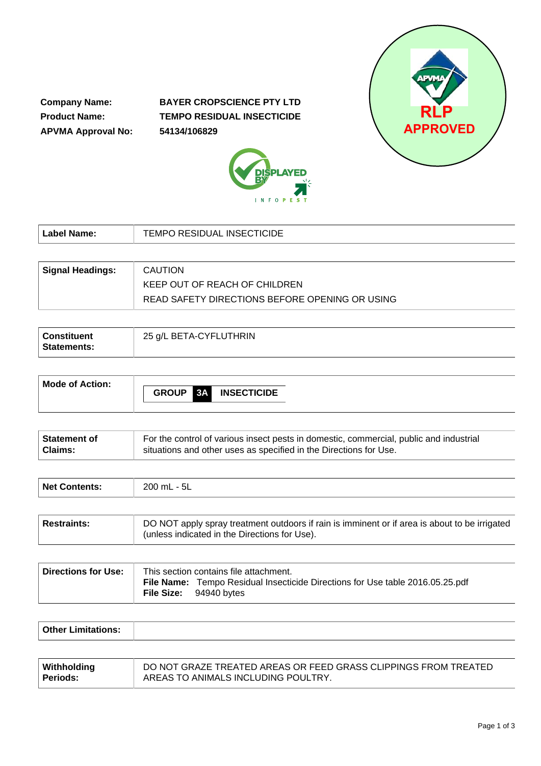**Company Name: Product Name: APVMA Approval No:** **BAYER CROPSCIENCE PTY LTD TEMPO RESIDUAL INSECTICIDE 54134/106829**





| Label Name:             | TEMPO RESIDUAL INSECTICIDE                     |
|-------------------------|------------------------------------------------|
|                         |                                                |
| <b>Signal Headings:</b> | <b>CAUTION</b>                                 |
|                         | KEEP OUT OF REACH OF CHILDREN                  |
|                         | READ SAFETY DIRECTIONS BEFORE OPENING OR USING |

| <b>Constituent</b><br><b>Statements:</b> | 25 g/L BETA-CYFLUTHRIN |
|------------------------------------------|------------------------|
|------------------------------------------|------------------------|

| Mode of Action: |                                          |
|-----------------|------------------------------------------|
|                 | <b>INSECTICIDE</b><br><b>GROUP</b><br>3A |
|                 |                                          |

| ∣ Statement of | For the control of various insect pests in domestic, commercial, public and industrial |
|----------------|----------------------------------------------------------------------------------------|
| <b>Claims:</b> | situations and other uses as specified in the Directions for Use.                      |

| Net Contents: | 200 mL - 5L |
|---------------|-------------|
|               |             |

| Restraints: | DO NOT apply spray treatment outdoors if rain is imminent or if area is about to be irrigated<br>(unless indicated in the Directions for Use). |
|-------------|------------------------------------------------------------------------------------------------------------------------------------------------|
|-------------|------------------------------------------------------------------------------------------------------------------------------------------------|

| Directions for Use: | This section contains file attachment. |                                                                                      |
|---------------------|----------------------------------------|--------------------------------------------------------------------------------------|
|                     | <b>File Size:</b> 94940 bytes          | <b>File Name:</b> Tempo Residual Insecticide Directions for Use table 2016.05.25.pdf |

| <b>Other Limi</b> |  |
|-------------------|--|
|                   |  |

| Withholding     | DO NOT GRAZE TREATED AREAS OR FEED GRASS CLIPPINGS FROM TREATED |
|-----------------|-----------------------------------------------------------------|
| <b>Periods:</b> | AREAS TO ANIMALS INCLUDING POULTRY.                             |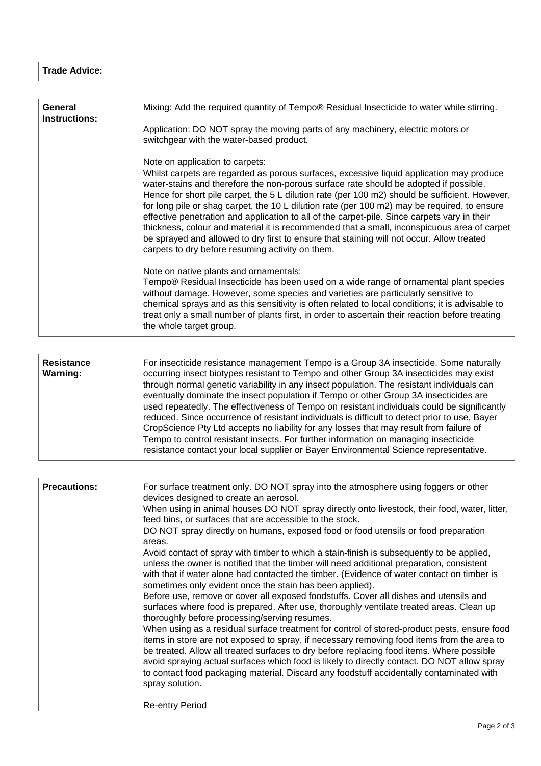| Trade Advice: |
|---------------|
|               |

| General<br><b>Instructions:</b> | Mixing: Add the required quantity of Tempo® Residual Insecticide to water while stirring.                                                                                                                                                                                                                                                                                                                                                                                                                                                                                                                                                                                                                                                                              |
|---------------------------------|------------------------------------------------------------------------------------------------------------------------------------------------------------------------------------------------------------------------------------------------------------------------------------------------------------------------------------------------------------------------------------------------------------------------------------------------------------------------------------------------------------------------------------------------------------------------------------------------------------------------------------------------------------------------------------------------------------------------------------------------------------------------|
|                                 | Application: DO NOT spray the moving parts of any machinery, electric motors or<br>switchgear with the water-based product.                                                                                                                                                                                                                                                                                                                                                                                                                                                                                                                                                                                                                                            |
|                                 | Note on application to carpets:<br>Whilst carpets are regarded as porous surfaces, excessive liquid application may produce<br>water-stains and therefore the non-porous surface rate should be adopted if possible.<br>Hence for short pile carpet, the 5 L dilution rate (per 100 m2) should be sufficient. However,<br>for long pile or shag carpet, the 10 L dilution rate (per 100 m2) may be required, to ensure<br>effective penetration and application to all of the carpet-pile. Since carpets vary in their<br>thickness, colour and material it is recommended that a small, inconspicuous area of carpet<br>be sprayed and allowed to dry first to ensure that staining will not occur. Allow treated<br>carpets to dry before resuming activity on them. |
|                                 | Note on native plants and ornamentals:<br>Tempo® Residual Insecticide has been used on a wide range of ornamental plant species<br>without damage. However, some species and varieties are particularly sensitive to<br>chemical sprays and as this sensitivity is often related to local conditions; it is advisable to<br>treat only a small number of plants first, in order to ascertain their reaction before treating<br>the whole target group.                                                                                                                                                                                                                                                                                                                 |

| <b>Precautions:</b> | For surface treatment only. DO NOT spray into the atmosphere using foggers or other<br>devices designed to create an aerosol.<br>When using in animal houses DO NOT spray directly onto livestock, their food, water, litter,<br>feed bins, or surfaces that are accessible to the stock.<br>DO NOT spray directly on humans, exposed food or food utensils or food preparation<br>areas.<br>Avoid contact of spray with timber to which a stain-finish is subsequently to be applied,<br>unless the owner is notified that the timber will need additional preparation, consistent<br>with that if water alone had contacted the timber. (Evidence of water contact on timber is<br>sometimes only evident once the stain has been applied).<br>Before use, remove or cover all exposed foodstuffs. Cover all dishes and utensils and<br>surfaces where food is prepared. After use, thoroughly ventilate treated areas. Clean up<br>thoroughly before processing/serving resumes.<br>When using as a residual surface treatment for control of stored-product pests, ensure food<br>items in store are not exposed to spray, if necessary removing food items from the area to<br>be treated. Allow all treated surfaces to dry before replacing food items. Where possible<br>avoid spraying actual surfaces which food is likely to directly contact. DO NOT allow spray<br>to contact food packaging material. Discard any foodstuff accidentally contaminated with<br>spray solution. |
|---------------------|---------------------------------------------------------------------------------------------------------------------------------------------------------------------------------------------------------------------------------------------------------------------------------------------------------------------------------------------------------------------------------------------------------------------------------------------------------------------------------------------------------------------------------------------------------------------------------------------------------------------------------------------------------------------------------------------------------------------------------------------------------------------------------------------------------------------------------------------------------------------------------------------------------------------------------------------------------------------------------------------------------------------------------------------------------------------------------------------------------------------------------------------------------------------------------------------------------------------------------------------------------------------------------------------------------------------------------------------------------------------------------------------------------------------------------------------------------------------------------------------|
|                     | <b>Re-entry Period</b>                                                                                                                                                                                                                                                                                                                                                                                                                                                                                                                                                                                                                                                                                                                                                                                                                                                                                                                                                                                                                                                                                                                                                                                                                                                                                                                                                                                                                                                                      |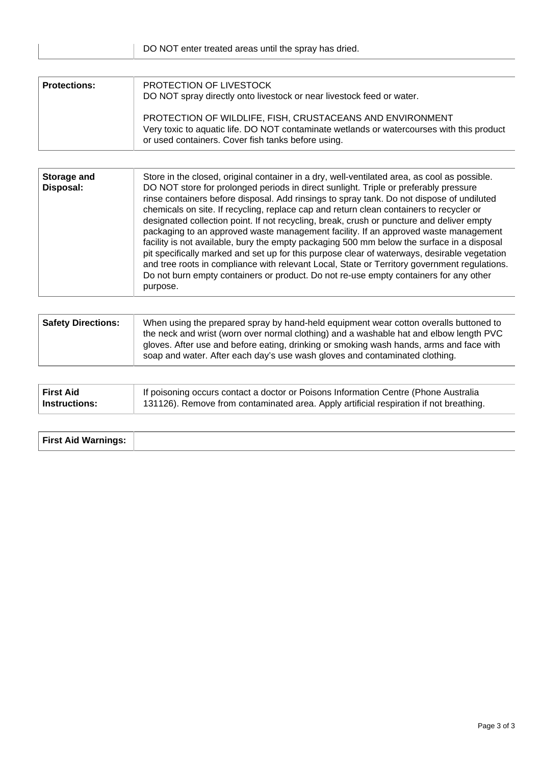| <b>Protections:</b> | PROTECTION OF LIVESTOCK<br>DO NOT spray directly onto livestock or near livestock feed or water.                                                                                                             |  |  |
|---------------------|--------------------------------------------------------------------------------------------------------------------------------------------------------------------------------------------------------------|--|--|
|                     | PROTECTION OF WILDLIFE, FISH, CRUSTACEANS AND ENVIRONMENT<br>Very toxic to aquatic life. DO NOT contaminate wetlands or watercourses with this product<br>or used containers. Cover fish tanks before using. |  |  |

| <b>Safety Directions:</b> | When using the prepared spray by hand-held equipment wear cotton overalls buttoned to<br>the neck and wrist (worn over normal clothing) and a washable hat and elbow length PVC<br>gloves. After use and before eating, drinking or smoking wash hands, arms and face with |
|---------------------------|----------------------------------------------------------------------------------------------------------------------------------------------------------------------------------------------------------------------------------------------------------------------------|
|                           | soap and water. After each day's use wash gloves and contaminated clothing.                                                                                                                                                                                                |

| <b>First Aid</b> | If poisoning occurs contact a doctor or Poisons Information Centre (Phone Australia    |
|------------------|----------------------------------------------------------------------------------------|
| Instructions:    | 131126). Remove from contaminated area. Apply artificial respiration if not breathing. |

| <b>First Aid Warnings:</b> |  |
|----------------------------|--|
|                            |  |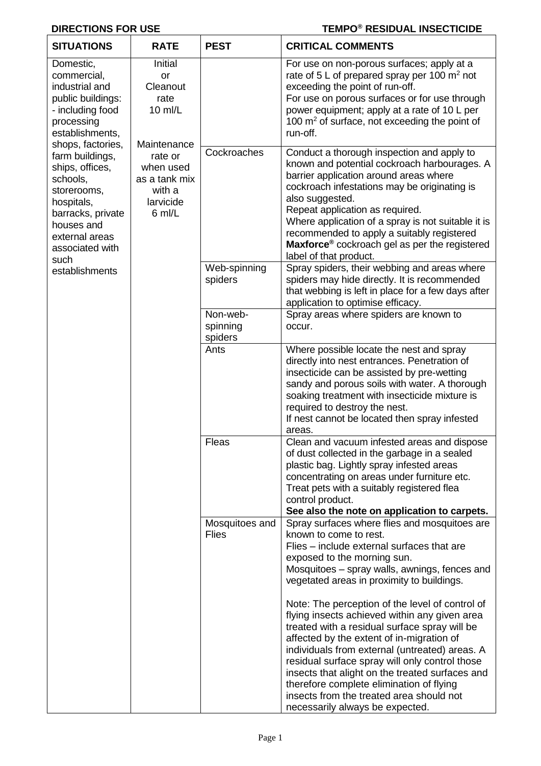#### **DIRECTIONS FOR USE**

# **TEMPO® RESIDUAL INSECTICIDE**

| <b>SITUATIONS</b>                                                                                                                                                                                                                                                                                                          | <b>RATE</b>                                                              | <b>PEST</b>                     | <b>CRITICAL COMMENTS</b>                                                                                                                                                                                                                                                                                                                                                                                                                                                                                                                                                                                                                                                                                                                |
|----------------------------------------------------------------------------------------------------------------------------------------------------------------------------------------------------------------------------------------------------------------------------------------------------------------------------|--------------------------------------------------------------------------|---------------------------------|-----------------------------------------------------------------------------------------------------------------------------------------------------------------------------------------------------------------------------------------------------------------------------------------------------------------------------------------------------------------------------------------------------------------------------------------------------------------------------------------------------------------------------------------------------------------------------------------------------------------------------------------------------------------------------------------------------------------------------------------|
| Domestic,<br>commercial,<br>industrial and<br>public buildings:<br>- including food<br>processing<br>establishments,<br>shops, factories,<br>farm buildings,<br>ships, offices,<br>schools,<br>storerooms,<br>hospitals,<br>barracks, private<br>houses and<br>external areas<br>associated with<br>such<br>establishments | Initial<br>or<br>Cleanout<br>rate<br>10 ml/L<br>Maintenance              |                                 | For use on non-porous surfaces; apply at a<br>rate of 5 L of prepared spray per 100 m <sup>2</sup> not<br>exceeding the point of run-off.<br>For use on porous surfaces or for use through<br>power equipment; apply at a rate of 10 L per<br>100 $\mathrm{m}^2$ of surface, not exceeding the point of<br>run-off.                                                                                                                                                                                                                                                                                                                                                                                                                     |
|                                                                                                                                                                                                                                                                                                                            | rate or<br>when used<br>as a tank mix<br>with a<br>larvicide<br>$6$ ml/L | Cockroaches                     | Conduct a thorough inspection and apply to<br>known and potential cockroach harbourages. A<br>barrier application around areas where<br>cockroach infestations may be originating is<br>also suggested.<br>Repeat application as required.<br>Where application of a spray is not suitable it is<br>recommended to apply a suitably registered<br>Maxforce <sup>®</sup> cockroach gel as per the registered<br>label of that product.                                                                                                                                                                                                                                                                                                   |
|                                                                                                                                                                                                                                                                                                                            |                                                                          | Web-spinning<br>spiders         | Spray spiders, their webbing and areas where<br>spiders may hide directly. It is recommended<br>that webbing is left in place for a few days after<br>application to optimise efficacy.                                                                                                                                                                                                                                                                                                                                                                                                                                                                                                                                                 |
|                                                                                                                                                                                                                                                                                                                            |                                                                          | Non-web-<br>spinning<br>spiders | Spray areas where spiders are known to<br>occur.                                                                                                                                                                                                                                                                                                                                                                                                                                                                                                                                                                                                                                                                                        |
|                                                                                                                                                                                                                                                                                                                            |                                                                          | Ants                            | Where possible locate the nest and spray<br>directly into nest entrances. Penetration of<br>insecticide can be assisted by pre-wetting<br>sandy and porous soils with water. A thorough<br>soaking treatment with insecticide mixture is<br>required to destroy the nest.<br>If nest cannot be located then spray infested<br>areas.                                                                                                                                                                                                                                                                                                                                                                                                    |
|                                                                                                                                                                                                                                                                                                                            |                                                                          | Fleas                           | Clean and vacuum infested areas and dispose<br>of dust collected in the garbage in a sealed<br>plastic bag. Lightly spray infested areas<br>concentrating on areas under furniture etc.<br>Treat pets with a suitably registered flea<br>control product.<br>See also the note on application to carpets.                                                                                                                                                                                                                                                                                                                                                                                                                               |
|                                                                                                                                                                                                                                                                                                                            |                                                                          | Mosquitoes and<br><b>Flies</b>  | Spray surfaces where flies and mosquitoes are<br>known to come to rest.<br>Flies - include external surfaces that are<br>exposed to the morning sun.<br>Mosquitoes – spray walls, awnings, fences and<br>vegetated areas in proximity to buildings.<br>Note: The perception of the level of control of<br>flying insects achieved within any given area<br>treated with a residual surface spray will be<br>affected by the extent of in-migration of<br>individuals from external (untreated) areas. A<br>residual surface spray will only control those<br>insects that alight on the treated surfaces and<br>therefore complete elimination of flying<br>insects from the treated area should not<br>necessarily always be expected. |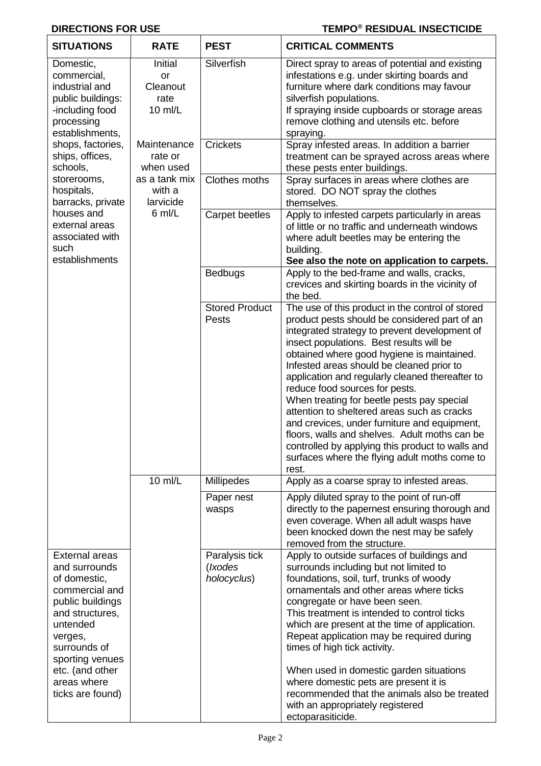### **DIRECTIONS FOR USE**

# **TEMPO<sup>®</sup> RESIDUAL INSECTICIDE**

| <b>SITUATIONS</b>                                                                                                                                                                                                                                                                                      | <b>RATE</b>                                                                           | <b>PEST</b>                              | <b>CRITICAL COMMENTS</b>                                                                                                                                                                                                                                                                                                                                                                                                                                                                                                                                                                                                                                                                   |
|--------------------------------------------------------------------------------------------------------------------------------------------------------------------------------------------------------------------------------------------------------------------------------------------------------|---------------------------------------------------------------------------------------|------------------------------------------|--------------------------------------------------------------------------------------------------------------------------------------------------------------------------------------------------------------------------------------------------------------------------------------------------------------------------------------------------------------------------------------------------------------------------------------------------------------------------------------------------------------------------------------------------------------------------------------------------------------------------------------------------------------------------------------------|
| Domestic,<br>commercial,<br>industrial and<br>public buildings:<br>-including food<br>processing<br>establishments,<br>shops, factories,<br>ships, offices,<br>schools,<br>storerooms,<br>hospitals,<br>barracks, private<br>houses and<br>external areas<br>associated with<br>such<br>establishments | Initial<br><b>or</b><br>Cleanout<br>rate<br>$10$ ml/L                                 | Silverfish                               | Direct spray to areas of potential and existing<br>infestations e.g. under skirting boards and<br>furniture where dark conditions may favour<br>silverfish populations.<br>If spraying inside cupboards or storage areas<br>remove clothing and utensils etc. before<br>spraying.                                                                                                                                                                                                                                                                                                                                                                                                          |
|                                                                                                                                                                                                                                                                                                        | Maintenance<br>rate or<br>when used<br>as a tank mix<br>with a<br>larvicide<br>6 ml/L | <b>Crickets</b>                          | Spray infested areas. In addition a barrier<br>treatment can be sprayed across areas where<br>these pests enter buildings.                                                                                                                                                                                                                                                                                                                                                                                                                                                                                                                                                                 |
|                                                                                                                                                                                                                                                                                                        |                                                                                       | <b>Clothes moths</b>                     | Spray surfaces in areas where clothes are<br>stored. DO NOT spray the clothes<br>themselves.                                                                                                                                                                                                                                                                                                                                                                                                                                                                                                                                                                                               |
|                                                                                                                                                                                                                                                                                                        |                                                                                       | <b>Carpet beetles</b>                    | Apply to infested carpets particularly in areas<br>of little or no traffic and underneath windows<br>where adult beetles may be entering the<br>building.<br>See also the note on application to carpets.                                                                                                                                                                                                                                                                                                                                                                                                                                                                                  |
|                                                                                                                                                                                                                                                                                                        |                                                                                       | <b>Bedbugs</b>                           | Apply to the bed-frame and walls, cracks,<br>crevices and skirting boards in the vicinity of<br>the bed.                                                                                                                                                                                                                                                                                                                                                                                                                                                                                                                                                                                   |
|                                                                                                                                                                                                                                                                                                        |                                                                                       | <b>Stored Product</b><br>Pests           | The use of this product in the control of stored<br>product pests should be considered part of an<br>integrated strategy to prevent development of<br>insect populations. Best results will be<br>obtained where good hygiene is maintained.<br>Infested areas should be cleaned prior to<br>application and regularly cleaned thereafter to<br>reduce food sources for pests.<br>When treating for beetle pests pay special<br>attention to sheltered areas such as cracks<br>and crevices, under furniture and equipment,<br>floors, walls and shelves. Adult moths can be<br>controlled by applying this product to walls and<br>surfaces where the flying adult moths come to<br>rest. |
|                                                                                                                                                                                                                                                                                                        | 10 ml/L                                                                               | <b>Millipedes</b>                        | Apply as a coarse spray to infested areas.                                                                                                                                                                                                                                                                                                                                                                                                                                                                                                                                                                                                                                                 |
|                                                                                                                                                                                                                                                                                                        |                                                                                       | Paper nest<br>wasps                      | Apply diluted spray to the point of run-off<br>directly to the papernest ensuring thorough and<br>even coverage. When all adult wasps have<br>been knocked down the nest may be safely<br>removed from the structure.                                                                                                                                                                                                                                                                                                                                                                                                                                                                      |
| <b>External areas</b><br>and surrounds<br>of domestic,<br>commercial and<br>public buildings<br>and structures,<br>untended<br>verges,<br>surrounds of<br>sporting venues<br>etc. (and other<br>areas where<br>ticks are found)                                                                        |                                                                                       | Paralysis tick<br>(Ixodes<br>holocyclus) | Apply to outside surfaces of buildings and<br>surrounds including but not limited to<br>foundations, soil, turf, trunks of woody<br>ornamentals and other areas where ticks<br>congregate or have been seen.<br>This treatment is intended to control ticks<br>which are present at the time of application.<br>Repeat application may be required during<br>times of high tick activity.<br>When used in domestic garden situations<br>where domestic pets are present it is<br>recommended that the animals also be treated<br>with an appropriately registered<br>ectoparasiticide.                                                                                                     |